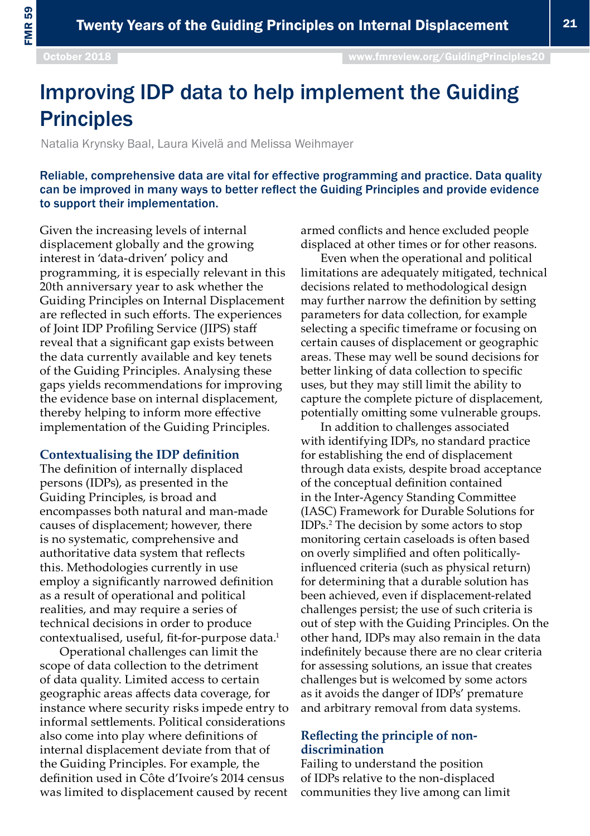# Improving IDP data to help implement the Guiding **Principles**

Natalia Krynsky Baal, Laura Kivelä and Melissa Weihmayer

Reliable, comprehensive data are vital for effective programming and practice. Data quality can be improved in many ways to better reflect the Guiding Principles and provide evidence to support their implementation.

Given the increasing levels of internal displacement globally and the growing interest in 'data-driven' policy and programming, it is especially relevant in this 20th anniversary year to ask whether the Guiding Principles on Internal Displacement are reflected in such efforts. The experiences of Joint IDP Profiling Service (JIPS) staff reveal that a significant gap exists between the data currently available and key tenets of the Guiding Principles. Analysing these gaps yields recommendations for improving the evidence base on internal displacement, thereby helping to inform more effective implementation of the Guiding Principles.

#### **Contextualising the IDP definition**

The definition of internally displaced persons (IDPs), as presented in the Guiding Principles, is broad and encompasses both natural and man-made causes of displacement; however, there is no systematic, comprehensive and authoritative data system that reflects this. Methodologies currently in use employ a significantly narrowed definition as a result of operational and political realities, and may require a series of technical decisions in order to produce contextualised, useful, fit-for-purpose data.<sup>1</sup>

Operational challenges can limit the scope of data collection to the detriment of data quality. Limited access to certain geographic areas affects data coverage, for instance where security risks impede entry to informal settlements. Political considerations also come into play where definitions of internal displacement deviate from that of the Guiding Principles. For example, the definition used in Côte d'Ivoire's 2014 census was limited to displacement caused by recent

armed conflicts and hence excluded people displaced at other times or for other reasons.

Even when the operational and political limitations are adequately mitigated, technical decisions related to methodological design may further narrow the definition by setting parameters for data collection, for example selecting a specific timeframe or focusing on certain causes of displacement or geographic areas. These may well be sound decisions for better linking of data collection to specific uses, but they may still limit the ability to capture the complete picture of displacement, potentially omitting some vulnerable groups.

In addition to challenges associated with identifying IDPs, no standard practice for establishing the end of displacement through data exists, despite broad acceptance of the conceptual definition contained in the Inter-Agency Standing Committee (IASC) Framework for Durable Solutions for IDPs.2 The decision by some actors to stop monitoring certain caseloads is often based on overly simplified and often politicallyinfluenced criteria (such as physical return) for determining that a durable solution has been achieved, even if displacement-related challenges persist; the use of such criteria is out of step with the Guiding Principles. On the other hand, IDPs may also remain in the data indefinitely because there are no clear criteria for assessing solutions, an issue that creates challenges but is welcomed by some actors as it avoids the danger of IDPs' premature and arbitrary removal from data systems.

### **Reflecting the principle of nondiscrimination**

Failing to understand the position of IDPs relative to the non-displaced communities they live among can limit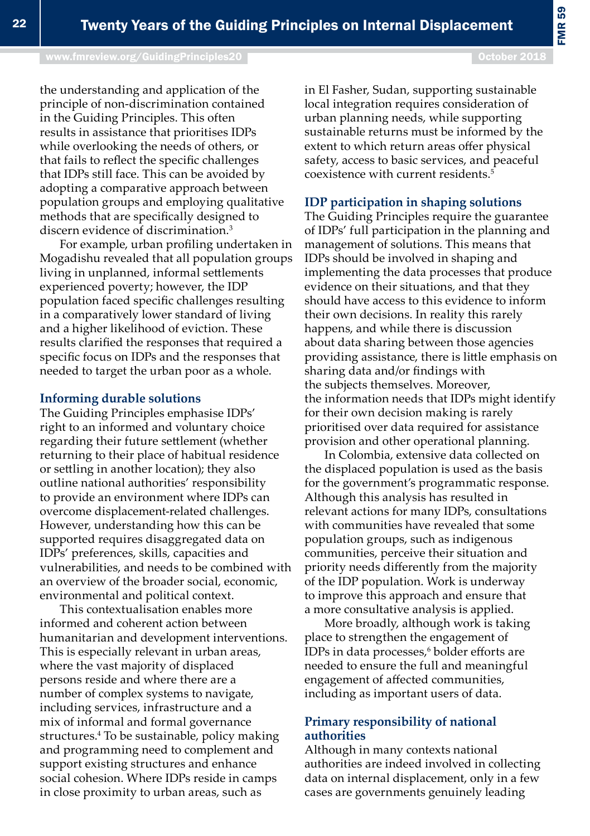[www.fmreview.org/GuidingPrinciples20](http://www.fmreview.org/dayton20
)

in El Fasher, Sudan, supporting sustainable local integration requires consideration of urban planning needs, while supporting sustainable returns must be informed by the extent to which return areas offer physical safety, access to basic services, and peaceful coexistence with current residents.5

## **IDP participation in shaping solutions**

The Guiding Principles require the guarantee of IDPs' full participation in the planning and management of solutions. This means that IDPs should be involved in shaping and implementing the data processes that produce evidence on their situations, and that they should have access to this evidence to inform their own decisions. In reality this rarely happens, and while there is discussion about data sharing between those agencies providing assistance, there is little emphasis on sharing data and/or findings with the subjects themselves. Moreover, the information needs that IDPs might identify for their own decision making is rarely prioritised over data required for assistance provision and other operational planning.

In Colombia, extensive data collected on the displaced population is used as the basis for the government's programmatic response. Although this analysis has resulted in relevant actions for many IDPs, consultations with communities have revealed that some population groups, such as indigenous communities, perceive their situation and priority needs differently from the majority of the IDP population. Work is underway to improve this approach and ensure that a more consultative analysis is applied.

More broadly, although work is taking place to strengthen the engagement of IDPs in data processes,<sup>6</sup> bolder efforts are needed to ensure the full and meaningful engagement of affected communities, including as important users of data.

## **Primary responsibility of national authorities**

Although in many contexts national authorities are indeed involved in collecting data on internal displacement, only in a few cases are governments genuinely leading

the understanding and application of the principle of non-discrimination contained in the Guiding Principles. This often results in assistance that prioritises IDPs while overlooking the needs of others, or that fails to reflect the specific challenges that IDPs still face. This can be avoided by adopting a comparative approach between population groups and employing qualitative methods that are specifically designed to discern evidence of discrimination<sup>3</sup>

For example, urban profiling undertaken in Mogadishu revealed that all population groups living in unplanned, informal settlements experienced poverty; however, the IDP population faced specific challenges resulting in a comparatively lower standard of living and a higher likelihood of eviction. These results clarified the responses that required a specific focus on IDPs and the responses that needed to target the urban poor as a whole.

#### **Informing durable solutions**

The Guiding Principles emphasise IDPs' right to an informed and voluntary choice regarding their future settlement (whether returning to their place of habitual residence or settling in another location); they also outline national authorities' responsibility to provide an environment where IDPs can overcome displacement-related challenges. However, understanding how this can be supported requires disaggregated data on IDPs' preferences, skills, capacities and vulnerabilities, and needs to be combined with an overview of the broader social, economic, environmental and political context.

This contextualisation enables more informed and coherent action between humanitarian and development interventions. This is especially relevant in urban areas, where the vast majority of displaced persons reside and where there are a number of complex systems to navigate, including services, infrastructure and a mix of informal and formal governance structures.4 To be sustainable, policy making and programming need to complement and support existing structures and enhance social cohesion. Where IDPs reside in camps in close proximity to urban areas, such as